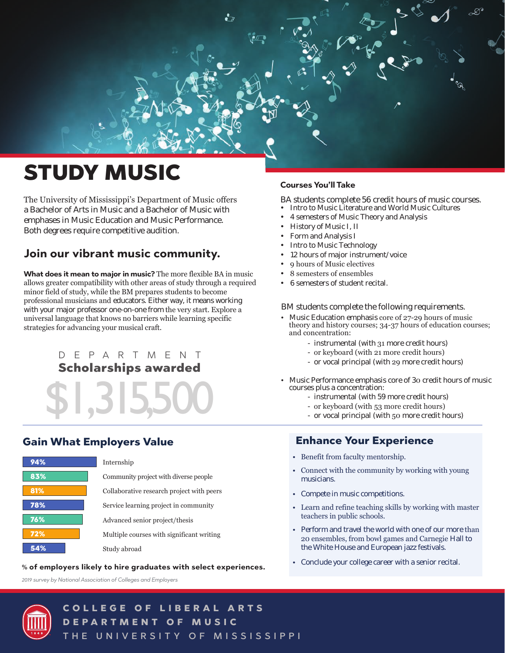

# STUDY MUSIC

The University of Mississippi's Department of Music offers a Bachelor of Arts in Music and a Bachelor of Music with emphases in Music Education and Music Performance. Both degrees require competitive audition.

# **Join our vibrant music community.**

**What does it mean to major in music?** The more flexible BA in music allows greater compatibility with other areas of study through a required minor field of study, while the BM prepares students to become professional musicians and educators. Either way, it means working with your major professor one-on-one from the very start. Explore a universal language that knows no barriers while learning specific strategies for advancing your musical craft.

# D E P ARTMENT Scholarships awarded

# Gain What Employers Value

 $\overline{1},\overline{3}$ 

| 94% | Internship                                |
|-----|-------------------------------------------|
| 83% | Community project with diverse people     |
| 81% | Collaborative research project with peers |
| 78% | Service learning project in community     |
| 76% | Advanced senior project/thesis            |
| 72% | Multiple courses with significant writing |
| 54% | Study abroad                              |

#### **% of employers likely to hire graduates with select experiences.**

*2019 survey by National Association of Colleges and Employers*



COLLEGE OF LIBERAL ARTS DEPARTMENT OF MUSIC THE UNIVERSITY OF MISSISSIPPI

#### **Courses You'll Take**

BA students complete 56 credit hours of music courses.

- Intro to Music Literature and World Music Cultures
- 4 semesters of Music Theory and Analysis
- History of Music I, II
- Form and Analysis I
- Intro to Music Technology
- 12 hours of major instrument/voice
- 9 hours of Music electives
- 8 semesters of ensembles
- 6 semesters of student recital.

#### BM students complete the following requirements.

- Music Education emphasis core of 27-29 hours of music theory and history courses; 34-37 hours of education courses; and concentration:
	- instrumental (with 31 more credit hours)
	- or keyboard (with 21 more credit hours)
	- or vocal principal (with 29 more credit hours)
- Music Performance emphasis core of 30 credit hours of music courses plus a concentration:
	- instrumental (with 59 more credit hours)
	- or keyboard (with 53 more credit hours)
	- or vocal principal (with 50 more credit hours)

### Enhance Your Experience

- Benefit from faculty mentorship.
- Connect with the community by working with young musicians.
- Compete in music competitions.
- Learn and refine teaching skills by working with master teachers in public schools.
- Perform and travel the world with one of our more than 20 ensembles, from bowl games and Carnegie Hall to the White House and European jazz festivals.
- Conclude your college career with a senior recital.